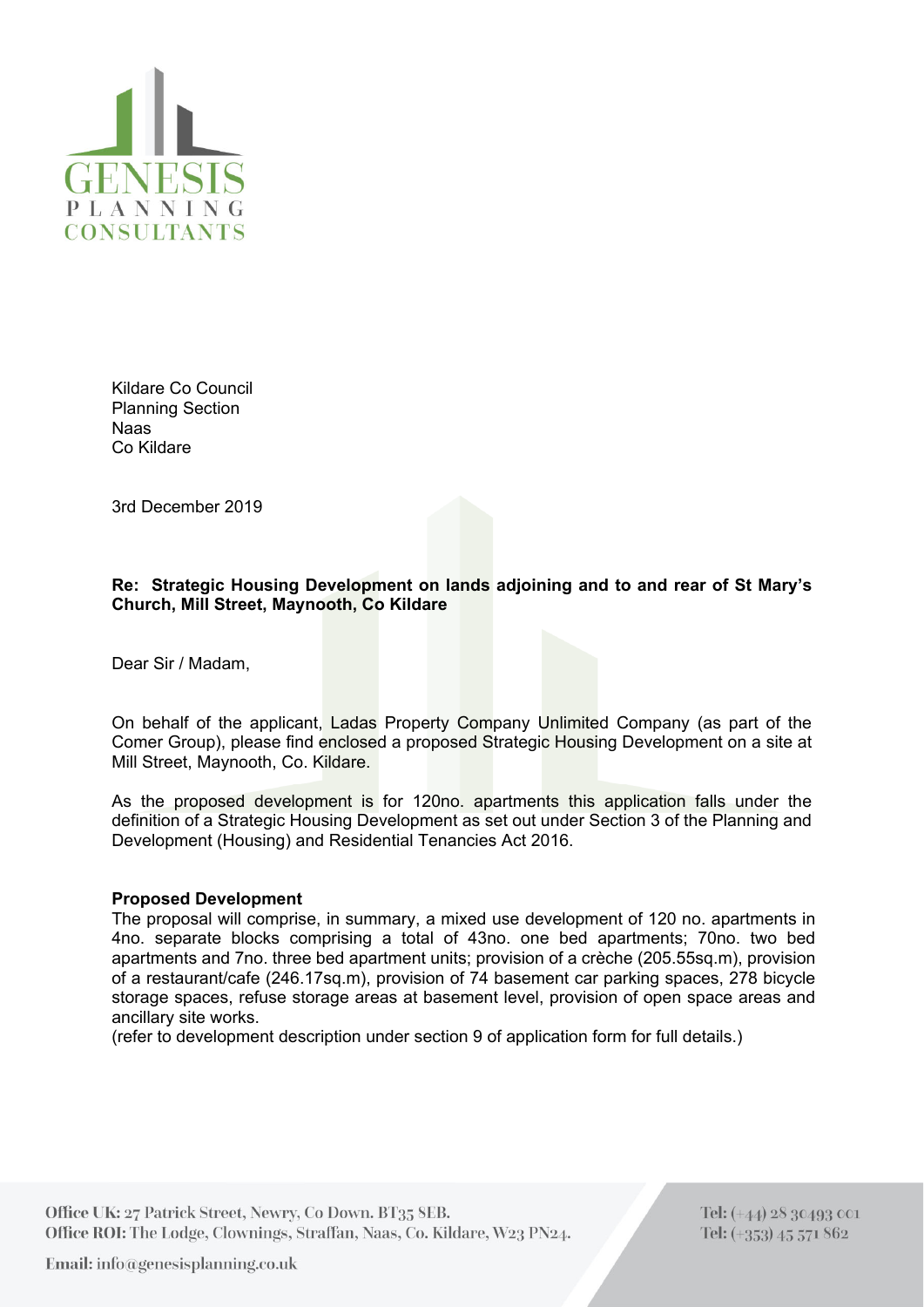

Kildare Co Council Planning Section Naas Co Kildare

3rd December 2019

## **Re: Strategic Housing Development on lands adjoining and to and rear of St Mary's Church, Mill Street, Maynooth, Co Kildare**

Dear Sir / Madam,

On behalf of the applicant, Ladas Property Company Unlimited Company (as part of the Comer Group), please find enclosed a proposed Strategic Housing Development on a site at Mill Street, Maynooth, Co. Kildare.

As the proposed development is for 120no. apartments this application falls under the definition of a Strategic Housing Development as set out under Section 3 of the Planning and Development (Housing) and Residential Tenancies Act 2016.

## **Proposed Development**

The proposal will comprise, in summary, a mixed use development of 120 no. apartments in 4no. separate blocks comprising a total of 43no. one bed apartments; 70no. two bed apartments and 7no. three bed apartment units; provision of a crèche (205.55sq.m), provision of a restaurant/cafe (246.17sq.m), provision of 74 basement car parking spaces, 278 bicycle storage spaces, refuse storage areas at basement level, provision of open space areas and ancillary site works.

(refer to development description under section 9 of application form for full details.)

Office UK: 27 Patrick Street, Newry, Co Down. BT35 SEB. Office ROI: The Lodge, Clownings, Straffan, Naas, Co. Kildare, W23 PN24.

Tel: (+44) 28 30493 001 Tel: (+353) 45 571 862

Email: info@genesisplanning.co.uk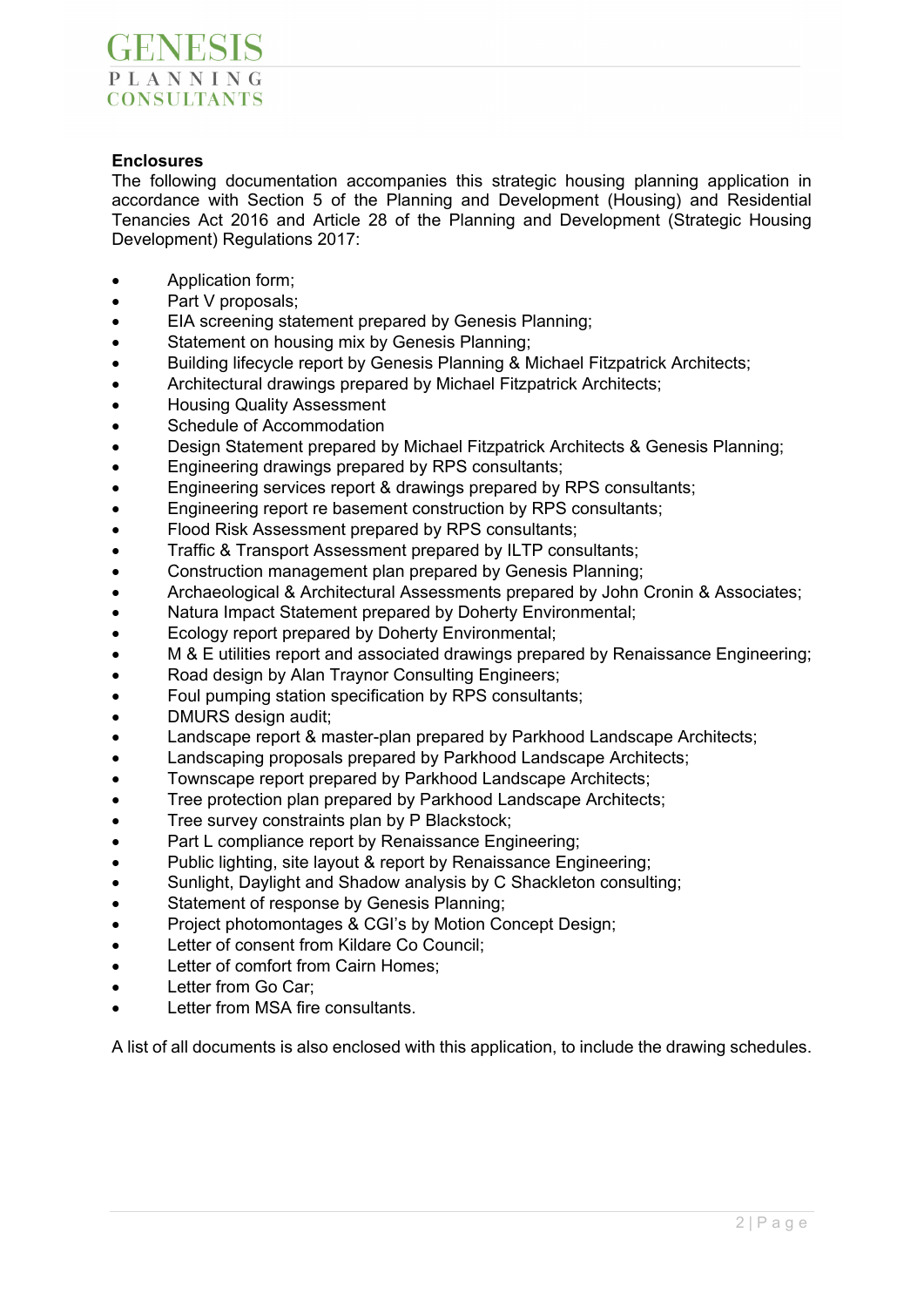

## **Enclosures**

The following documentation accompanies this strategic housing planning application in accordance with Section 5 of the Planning and Development (Housing) and Residential Tenancies Act 2016 and Article 28 of the Planning and Development (Strategic Housing Development) Regulations 2017:

- Application form;
- Part V proposals;
- EIA screening statement prepared by Genesis Planning;
- Statement on housing mix by Genesis Planning:
- Building lifecycle report by Genesis Planning & Michael Fitzpatrick Architects;
- Architectural drawings prepared by Michael Fitzpatrick Architects;
- Housing Quality Assessment
- Schedule of Accommodation
- Design Statement prepared by Michael Fitzpatrick Architects & Genesis Planning;
- **Engineering drawings prepared by RPS consultants;**
- Engineering services report & drawings prepared by RPS consultants;
- Engineering report re basement construction by RPS consultants;
- Flood Risk Assessment prepared by RPS consultants;
- Traffic & Transport Assessment prepared by ILTP consultants;
- Construction management plan prepared by Genesis Planning;
- Archaeological & Architectural Assessments prepared by John Cronin & Associates;
- Natura Impact Statement prepared by Doherty Environmental;
- Ecology report prepared by Doherty Environmental;
- M & E utilities report and associated drawings prepared by Renaissance Engineering;
- Road design by Alan Traynor Consulting Engineers;
- Foul pumping station specification by RPS consultants;
- DMURS design audit;
- Landscape report & master-plan prepared by Parkhood Landscape Architects;
- Landscaping proposals prepared by Parkhood Landscape Architects;
- Townscape report prepared by Parkhood Landscape Architects:
- Tree protection plan prepared by Parkhood Landscape Architects;
- Tree survey constraints plan by P Blackstock;
- Part L compliance report by Renaissance Engineering;
- Public lighting, site layout & report by Renaissance Engineering;
- Sunlight, Daylight and Shadow analysis by C Shackleton consulting;
- Statement of response by Genesis Planning;
- Project photomontages & CGI's by Motion Concept Design;
- Letter of consent from Kildare Co Council;
- Letter of comfort from Cairn Homes;
- Letter from Go Car;
- Letter from MSA fire consultants.

A list of all documents is also enclosed with this application, to include the drawing schedules.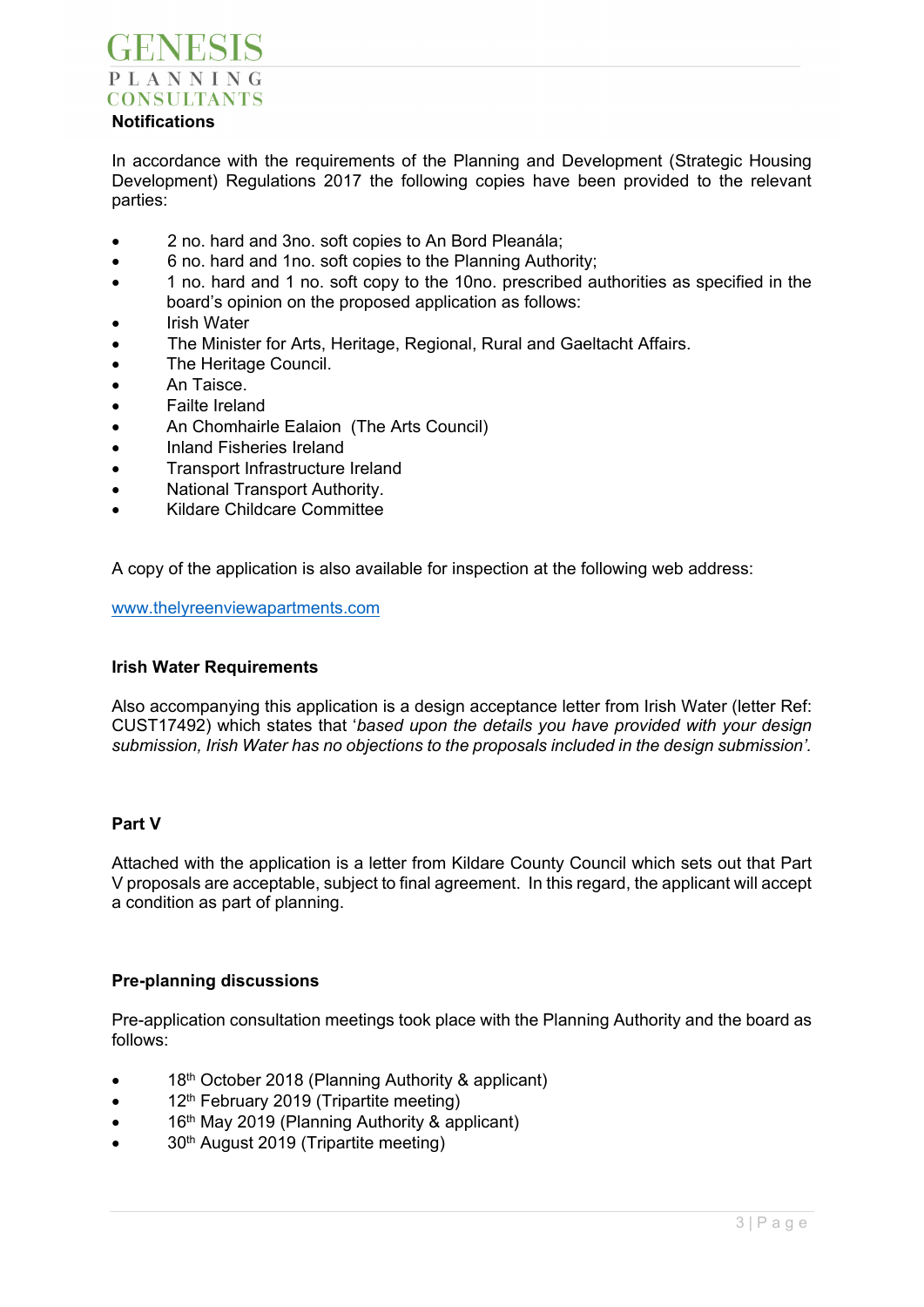# **GENESIS** PLANNING **CONSULTANTS Notifications**

#### In accordance with the requirements of the Planning and Development (Strategic Housing Development) Regulations 2017 the following copies have been provided to the relevant parties:

- 2 no. hard and 3no. soft copies to An Bord Pleanála;
- 6 no. hard and 1no. soft copies to the Planning Authority;
- 1 no. hard and 1 no. soft copy to the 10no. prescribed authorities as specified in the board's opinion on the proposed application as follows:
- Irish Water
- The Minister for Arts, Heritage, Regional, Rural and Gaeltacht Affairs.
- The Heritage Council.
- An Taisce.
- Failte Ireland
- An Chomhairle Ealaion (The Arts Council)
- Inland Fisheries Ireland
- Transport Infrastructure Ireland
- National Transport Authority.
- Kildare Childcare Committee

A copy of the application is also available for inspection at the following web address:

www.thelyreenviewapartments.com

## **Irish Water Requirements**

Also accompanying this application is a design acceptance letter from Irish Water (letter Ref: CUST17492) which states that '*based upon the details you have provided with your design submission, Irish Water has no objections to the proposals included in the design submission'.*

## **Part V**

Attached with the application is a letter from Kildare County Council which sets out that Part V proposals are acceptable, subject to final agreement. In this regard, the applicant will accept a condition as part of planning.

## **Pre-planning discussions**

Pre-application consultation meetings took place with the Planning Authority and the board as follows:

- 18th October 2018 (Planning Authority & applicant)
- 12th February 2019 (Tripartite meeting)
- $\bullet$  16<sup>th</sup> May 2019 (Planning Authority & applicant)
- 30th August 2019 (Tripartite meeting)